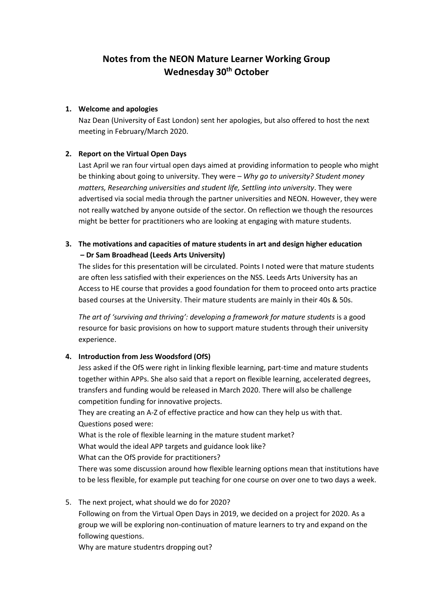# **Notes from the NEON Mature Learner Working Group Wednesday 30th October**

#### **1. Welcome and apologies**

Naz Dean (University of East London) sent her apologies, but also offered to host the next meeting in February/March 2020.

## **2. Report on the Virtual Open Days**

Last April we ran four virtual open days aimed at providing information to people who might be thinking about going to university. They were – *Why go to university? Student money matters, Researching universities and student life, Settling into university*. They were advertised via social media through the partner universities and NEON. However, they were not really watched by anyone outside of the sector. On reflection we though the resources might be better for practitioners who are looking at engaging with mature students.

**3. The motivations and capacities of mature students in art and design higher education – Dr Sam Broadhead (Leeds Arts University)**

The slides for this presentation will be circulated. Points I noted were that mature students are often less satisfied with their experiences on the NSS. Leeds Arts University has an Access to HE course that provides a good foundation for them to proceed onto arts practice based courses at the University. Their mature students are mainly in their 40s & 50s.

*The art of 'surviving and thriving': developing a framework for mature students* is a good resource for basic provisions on how to support mature students through their university experience.

## **4. Introduction from Jess Woodsford (OfS)**

Jess asked if the OfS were right in linking flexible learning, part-time and mature students together within APPs. She also said that a report on flexible learning, accelerated degrees, transfers and funding would be released in March 2020. There will also be challenge competition funding for innovative projects.

They are creating an A-Z of effective practice and how can they help us with that. Questions posed were:

What is the role of flexible learning in the mature student market?

What would the ideal APP targets and guidance look like?

What can the OfS provide for practitioners?

There was some discussion around how flexible learning options mean that institutions have to be less flexible, for example put teaching for one course on over one to two days a week.

5. The next project, what should we do for 2020?

Following on from the Virtual Open Days in 2019, we decided on a project for 2020. As a group we will be exploring non-continuation of mature learners to try and expand on the following questions.

Why are mature studentrs dropping out?